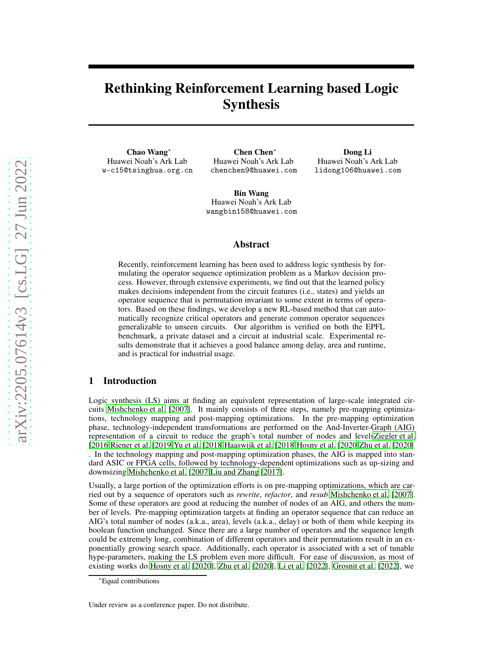# Rethinking Reinforcement Learning based Logic Synthesis

Chao Wang<sup>∗</sup> Huawei Noah's Ark Lab w-c15@tsinghua.org.cn

Chen Chen<sup>∗</sup> Huawei Noah's Ark Lab chenchen9@huawei.com

Dong Li Huawei Noah's Ark Lab lidong106@huawei.com

Bin Wang Huawei Noah's Ark Lab wangbin158@huawei.com

## Abstract

Recently, reinforcement learning has been used to address logic synthesis by formulating the operator sequence optimization problem as a Markov decision process. However, through extensive experiments, we find out that the learned policy makes decisions independent from the circuit features (i.e., states) and yields an operator sequence that is permutation invariant to some extent in terms of operators. Based on these findings, we develop a new RL-based method that can automatically recognize critical operators and generate common operator sequences generalizable to unseen circuits. Our algorithm is verified on both the EPFL benchmark, a private dataset and a circuit at industrial scale. Experimental results demonstrate that it achieves a good balance among delay, area and runtime, and is practical for industrial usage.

# 1 Introduction

Logic synthesis (LS) aims at finding an equivalent representation of large-scale integrated circuits [Mishchenko et al.](#page-8-0) [\[2007\]](#page-8-0). It mainly consists of three steps, namely pre-mapping optimizations, technology mapping and post-mapping optimizations. In the pre-mapping optimization phase, technology-independent transformations are performed on the And-Inverter-Graph (AIG) representation of a circuit to reduce the graph's total number of nodes and level[sZiegler et al.](#page-8-1) [\[2016\]](#page-8-1)[Riener et al. \[2019\]](#page-8-2)[Yu et al.](#page-8-3) [\[2018](#page-8-3)[\]Haaswijk et al. \[2018](#page-8-4)[\]Hosny et al. \[2020](#page-8-5)[\]Zhu et al.](#page-8-6) [\[2020\]](#page-8-6) . In the technology mapping and post-mapping optimization phases, the AIG is mapped into standard ASIC or FPGA cells, followed by technology-dependent optimizations such as up-sizing and downsizing [Mishchenko et al. \[2007](#page-8-0)[\]Liu and Zhang](#page-8-7) [\[2017\]](#page-8-7).

Usually, a large portion of the optimization efforts is on pre-mapping optimizations, which are carried out by a sequence of operators such as *rewrite*, *refactor*, and *resub* [Mishchenko et al. \[2007\]](#page-8-0). Some of these operators are good at reducing the number of nodes of an AIG, and others the number of levels. Pre-mapping optimization targets at finding an operator sequence that can reduce an AIG's total number of nodes (a.k.a., area), levels (a.k.a., delay) or both of them while keeping its boolean function unchanged. Since there are a large number of operators and the sequence length could be extremely long, combination of different operators and their permutations result in an exponentially growing search space. Additionally, each operator is associated with a set of tunable hype-parameters, making the LS problem even more difficult. For ease of discussion, as most of existing works do [Hosny et al. \[2020](#page-8-5)], [Zhu et al. \[2020](#page-8-6)], [Li et](#page-8-8) al. [\[2022](#page-8-8)], [Grosnit et al. \[2022\]](#page-8-9), we

Under review as a conference paper. Do not distribute.

<sup>∗</sup>Equal contributions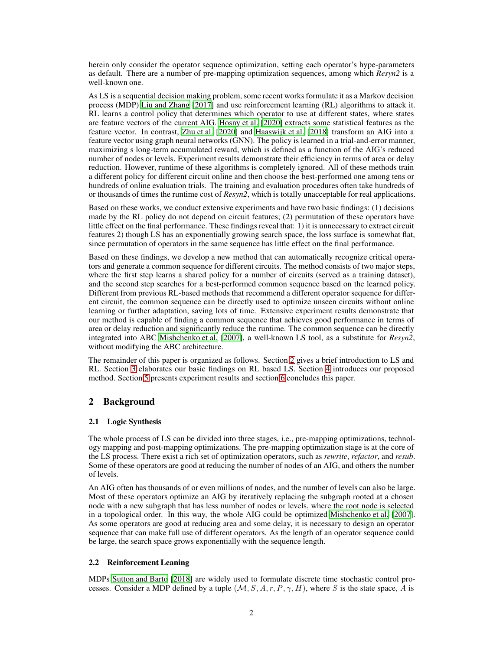herein only consider the operator sequence optimization, setting each operator's hype-parameters as default. There are a number of pre-mapping optimization sequences, among which *Resyn2* is a well-known one.

As LS is a sequential decision making problem, some recent works formulate it as a Markov decision process (MDP) [Liu and Zhang \[2017](#page-8-7)] and use reinforcement learning (RL) algorithms to attack it. RL learns a control policy that determines which operator to use at different states, where states are feature vectors of the current AIG. [Hosny et al. \[2020\]](#page-8-5) extracts some statistical features as the feature vector. In contrast, [Zhu et al. \[2020\]](#page-8-6) and [Haaswijk et al. \[2018\]](#page-8-4) transform an AIG into a feature vector using graph neural networks (GNN). The policy is learned in a trial-and-error manner, maximizing s long-term accumulated reward, which is defined as a function of the AIG's reduced number of nodes or levels. Experiment results demonstrate their efficiency in terms of area or delay reduction. However, runtime of these algorithms is completely ignored. All of these methods train a different policy for different circuit online and then choose the best-performed one among tens or hundreds of online evaluation trials. The training and evaluation procedures often take hundreds of or thousands of times the runtime cost of *Resyn2*, which is totally unacceptable for real applications.

Based on these works, we conduct extensive experiments and have two basic findings: (1) decisions made by the RL policy do not depend on circuit features; (2) permutation of these operators have little effect on the final performance. These findings reveal that: 1) it is unnecessary to extract circuit features 2) though LS has an exponentially growing search space, the loss surface is somewhat flat, since permutation of operators in the same sequence has little effect on the final performance.

Based on these findings, we develop a new method that can automatically recognize critical operators and generate a common sequence for different circuits. The method consists of two major steps, where the first step learns a shared policy for a number of circuits (served as a training dataset), and the second step searches for a best-performed common sequence based on the learned policy. Different from previous RL-based methods that recommend a different operator sequence for different circuit, the common sequence can be directly used to optimize unseen circuits without online learning or further adaptation, saving lots of time. Extensive experiment results demonstrate that our method is capable of finding a common sequence that achieves good performance in terms of area or delay reduction and significantly reduce the runtime. The common sequence can be directly integrated into ABC [Mishchenko et al. \[2007](#page-8-0)], a well-known LS tool, as a substitute for *Resyn2*, without modifying the ABC architecture.

The remainder of this paper is organized as follows. Section [2](#page-1-0) gives a brief introduction to LS and RL. Section [3](#page-2-0) elaborates our basic findings on RL based LS. Section [4](#page-5-0) introduces our proposed method. Section [5](#page-6-0) presents experiment results and section [6](#page-7-0) concludes this paper.

# <span id="page-1-0"></span>2 Background

#### 2.1 Logic Synthesis

The whole process of LS can be divided into three stages, i.e., pre-mapping optimizations, technology mapping and post-mapping optimizations. The pre-mapping optimization stage is at the core of the LS process. There exist a rich set of optimization operators, such as *rewrite*, *refactor*, and *resub*. Some of these operators are good at reducing the number of nodes of an AIG, and others the number of levels.

An AIG often has thousands of or even millions of nodes, and the number of levels can also be large. Most of these operators optimize an AIG by iteratively replacing the subgraph rooted at a chosen node with a new subgraph that has less number of nodes or levels, where the root node is selected in a topological order. In this way, the whole AIG could be optimized [Mishchenko et al. \[2007\]](#page-8-0). As some operators are good at reducing area and some delay, it is necessary to design an operator sequence that can make full use of different operators. As the length of an operator sequence could be large, the search space grows exponentially with the sequence length.

#### 2.2 Reinforcement Leaning

MDPs [Sutton and Barto \[2018](#page-8-10)] are widely used to formulate discrete time stochastic control processes. Consider a MDP defined by a tuple  $(M, S, A, r, P, \gamma, H)$ , where S is the state space, A is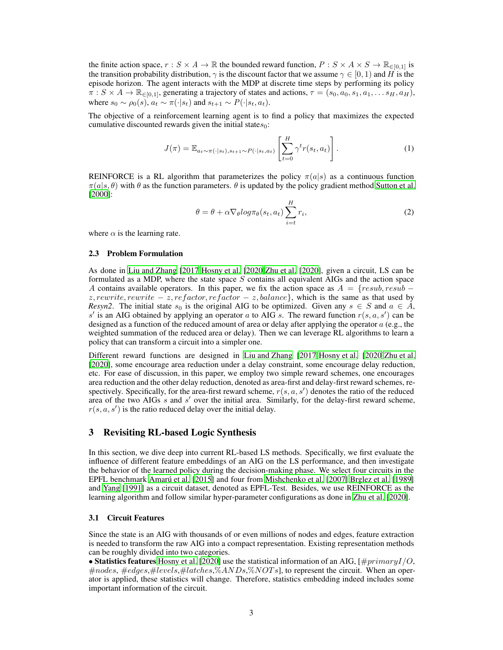the finite action space,  $r : S \times A \to \mathbb{R}$  the bounded reward function,  $P : S \times A \times S \to \mathbb{R}_{\in [0,1]}$  is the transition probability distribution,  $\gamma$  is the discount factor that we assume  $\gamma \in [0,1)$  and H is the episode horizon. The agent interacts with the MDP at discrete time steps by performing its policy  $\pi: S \times A \to \mathbb{R}_{\in [0,1]},$  generating a trajectory of states and actions,  $\tau = (s_0, a_0, s_1, a_1, \ldots, s_H, a_H),$ where  $s_0 \sim \rho_0(s)$ ,  $a_t \sim \pi(\cdot|s_t)$  and  $s_{t+1} \sim P(\cdot|s_t, a_t)$ .

The objective of a reinforcement learning agent is to find a policy that maximizes the expected cumulative discounted rewards given the initial states $_0$ :

$$
J(\pi) = \mathbb{E}_{a_t \sim \pi(\cdot|s_t), s_{t+1} \sim P(\cdot|s_t, a_t)} \left[ \sum_{t=0}^H \gamma^t r(s_t, a_t) \right]. \tag{1}
$$

REINFORCE is a RL algorithm that parameterizes the policy  $\pi(a|s)$  as a continuous function  $\pi(a|s, \theta)$  with  $\theta$  as the function parameters.  $\theta$  is updated by the policy gradient method [Sutton et al.](#page-8-11) [\[2000\]](#page-8-11):

$$
\theta = \theta + \alpha \nabla_{\theta} log \pi_{\theta}(s_t, a_t) \sum_{i=t}^{H} r_i,
$$
\n(2)

<span id="page-2-2"></span>where  $\alpha$  is the learning rate.

#### 2.3 Problem Formulation

As done in [Liu and Zhang \[2017](#page-8-7)[\]Hosny et al.](#page-8-5) [\[2020](#page-8-5)[\]Zhu et al.](#page-8-6) [\[2020\]](#page-8-6), given a circuit, LS can be formulated as a MDP, where the state space  $S$  contains all equivalent AIGs and the action space A contains available operators. In this paper, we fix the action space as  $A = \{result, result\}$ z, rewrite, rewrite  $-z$ , refactor, refactor  $-z$ , balance}, which is the same as that used by *Resyn2*. The initial state  $s_0$  is the original AIG to be optimized. Given any  $s \in S$  and  $a \in \overline{A}$ , s' is an AIG obtained by applying an operator a to AIG s. The reward function  $r(s, a, s')$  can be designed as a function of the reduced amount of area or delay after applying the operator  $a$  (e.g., the weighted summation of the reduced area or delay). Then we can leverage RL algorithms to learn a policy that can transform a circuit into a simpler one.

Different reward functions are designed in [Liu and Zhang](#page-8-7) [\[2017](#page-8-7)[\]Hosny et al.](#page-8-5) [\[2020](#page-8-5)[\]Zhu et al.](#page-8-6) [\[2020\]](#page-8-6), some encourage area reduction under a delay constraint, some encourage delay reduction, etc. For ease of discussion, in this paper, we employ two simple reward schemes, one encourages area reduction and the other delay reduction, denoted as area-first and delay-first reward schemes, respectively. Specifically, for the area-first reward scheme,  $r(s, a, s')$  denotes the ratio of the reduced area of the two AIGs s and s' over the initial area. Similarly, for the delay-first reward scheme,  $r(s, a, s')$  is the ratio reduced delay over the initial delay.

## <span id="page-2-0"></span>3 Revisiting RL-based Logic Synthesis

In this section, we dive deep into current RL-based LS methods. Specifically, we first evaluate the influence of different feature embeddings of an AIG on the LS performance, and then investigate the behavior of the learned policy during the decision-making phase. We select four circuits in the EPFL benchmark [Amarú et al. \[2015\]](#page-8-12) and four from [Mishchenko et al. \[2007\]](#page-8-0)[,Brglez et al.](#page-8-13) [\[1989\]](#page-8-13) and [Yang \[1991](#page-8-14)] as a circuit dataset, denoted as EPFL-Test. Besides, we use REINFORCE as the learning algorithm and follow similar hyper-parameter configurations as done in [Zhu et al. \[2020\]](#page-8-6).

#### <span id="page-2-1"></span>3.1 Circuit Features

Since the state is an AIG with thousands of or even millions of nodes and edges, feature extraction is needed to transform the raw AIG into a compact representation. Existing representation methods can be roughly divided into two categories.

• Statistics features [Hosny et al.](#page-8-5) [\[2020\]](#page-8-5) use the statistical information of an AIG,  $\frac{H}{H}$ rimaryI/O, #nodes, #edges,#levels,#latches,%ANDs,%NOTs], to represent the circuit. When an operator is applied, these statistics will change. Therefore, statistics embedding indeed includes some important information of the circuit.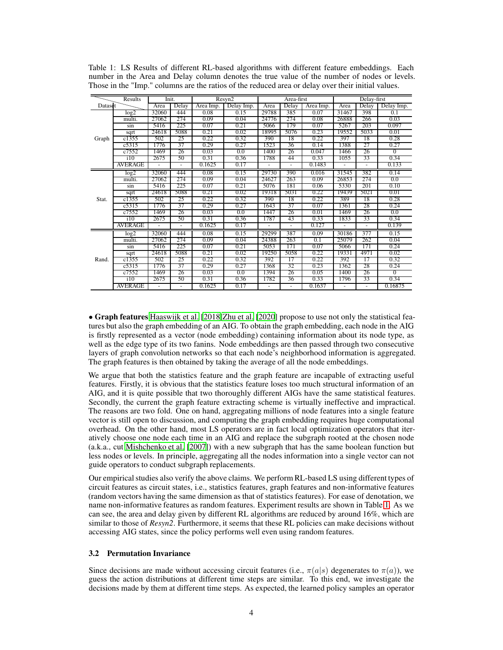|         | Results          | Init.          |                | Resyn2    | Area-first |       |                | Delay-first |       |          |                |
|---------|------------------|----------------|----------------|-----------|------------|-------|----------------|-------------|-------|----------|----------------|
| Dataset |                  | Area           | Delay          | Area Imp. | Delay Imp. | Area  | Delay          | Area Imp.   | Area  | Delay    | Delay Imp.     |
|         | log2             | 32060          | 444            | 0.08      | 0.15       | 29788 | 385            | 0.07        | 31467 | 398      | 0.1            |
|         | multi.           | 27062          | 274            | 0.09      | 0.04       | 24776 | 274            | 0.08        | 26888 | 266      | 0.03           |
|         | sin              | 5416           | 225            | 0.07      | 0.21       | 5066  | 179            | 0.07        | 5267  | 203      | 0.097          |
|         | sqrt             | 24618          | 5088           | 0.21      | 0.02       | 18995 | 5076           | 0.23        | 19552 | 5033     | 0.01           |
| Graph   | c1355            | 502            | 25             | 0.22      | 0.32       | 390   | 18             | 0.22        | 397   | 18       | 0.28           |
|         | c5315            | 1776           | 37             | 0.29      | 0.27       | 1523  | 36             | 0.14        | 1388  | 27       | 0.27           |
|         | c7552            | 1469           | 26             | 0.03      | 0.0        | 1400  | 26             | 0.047       | 1466  | 26       | $\left($       |
|         | $\overline{110}$ | 2675           | 50             | 0.31      | 0.36       | 1788  | 44             | 0.33        | 1055  | 33       | 0.34           |
|         | <b>AVERAGE</b>   |                |                | 0.1625    | 0.17       |       |                | 0.1483      |       |          | 0.133          |
|         | log2             | 32060          | 444            | 0.08      | 0.15       | 29730 | 390            | 0.016       | 31545 | 382      | 0.14           |
|         | multi.           | 27062          | 274            | 0.09      | 0.04       | 24627 | 263            | 0.09        | 26853 | 274      | 0.0            |
|         | sin              | 5416           | 225            | 0.07      | 0.21       | 5076  | 181            | 0.06        | 5330  | 201      | 0.10           |
|         | sqrt             | 24618          | 5088           | 0.21      | 0.02       | 19318 | 5031           | 0.22        | 19439 | 5021     | 0.01           |
| Stat.   | c1355            | 502            | 25             | 0.22      | 0.32       | 390   | 18             | 0.22        | 389   | 18       | 0.28           |
|         | c5315            | 1776           | 37             | 0.29      | 0.27       | 1643  | 37             | 0.07        | 1361  | 28       | 0.24           |
|         | c7552            | 1469           | 26             | 0.03      | 0.0        | 1447  | 26             | 0.01        | 1469  | 26       | 0.0            |
|         | $\frac{110}{2}$  | 2675           | 50             | 0.31      | 0.36       | 1787  | 43             | 0.33        | 1833  | 33       | 0.34           |
|         | AVERAGE          | $\blacksquare$ | $\blacksquare$ | 0.1625    | 0.17       |       | $\blacksquare$ | 0.127       |       | ٠        | 0.139          |
|         | log2             | 32060          | 444            | 0.08      | 0.15       | 29299 | 387            | 0.09        | 30186 | 377      | 0.15           |
|         | multi.           | 27062          | 274            | 0.09      | 0.04       | 24388 | 263            | 0.1         | 25079 | 262      | 0.04           |
|         | sin              | 5416           | 225            | 0.07      | 0.21       | 5053  | 171            | 0.07        | 5066  | 171      | 0.24           |
|         | sqrt             | 24618          | 5088           | 0.21      | 0.02       | 19250 | 5058           | 0.22        | 19331 | 4971     | 0.02           |
| Rand.   | c1355            | 502            | 25             | 0.22      | 0.32       | 392   | 17             | 0.22        | 392   | 17       | 0.32           |
|         | c5315            | 1776           | 37             | 0.29      | 0.27       | 1368  | 32             | 0.23        | 1362  | 28       | 0.24           |
|         | c7552            | 1469           | 26             | 0.03      | 0.0        | 1394  | 26             | 0.05        | 1400  | 26       | $\overline{0}$ |
|         | $\frac{110}{2}$  | 2675           | 50             | 0.31      | 0.36       | 1782  | 36             | 0.33        | 1796  | 33       | 0.34           |
|         | <b>AVERAGE</b>   |                | ÷.             | 0.1625    | 0.17       |       | ä,             | 0.1637      |       | $\equiv$ | 0.16875        |

<span id="page-3-0"></span>Table 1: LS Results of different RL-based algorithms with different feature embeddings. Each number in the Area and Delay column denotes the true value of the number of nodes or levels. Those in the "Imp." columns are the ratios of the reduced area or delay over their initial values.

• Graph features [Haaswijk et al. \[2018](#page-8-4)[\]Zhu et al.](#page-8-6) [\[2020\]](#page-8-6) propose to use not only the statistical features but also the graph embedding of an AIG. To obtain the graph embedding, each node in the AIG is firstly represented as a vector (node embedding) containing information about its node type, as well as the edge type of its two fanins. Node embeddings are then passed through two consecutive layers of graph convolution networks so that each node's neighborhood information is aggregated. The graph features is then obtained by taking the average of all the node embeddings.

We argue that both the statistics feature and the graph feature are incapable of extracting useful features. Firstly, it is obvious that the statistics feature loses too much structural information of an AIG, and it is quite possible that two thoroughly different AIGs have the same statistical features. Secondly, the current the graph feature extracting scheme is virtually ineffective and impractical. The reasons are two fold. One on hand, aggregating millions of node features into a single feature vector is still open to discussion, and computing the graph embedding requires huge computational overhead. On the other hand, most LS operators are in fact local optimization operators that iteratively choose one node each time in an AIG and replace the subgraph rooted at the chosen node (a.k.a., cut [Mishchenko et al.](#page-8-0) [\[2007\]](#page-8-0)) with a new subgraph that has the same boolean function but less nodes or levels. In principle, aggregating all the nodes information into a single vector can not guide operators to conduct subgraph replacements.

Our empirical studies also verify the above claims. We perform RL-based LS using different types of circuit features as circuit states, i.e., statistics features, graph features and non-informative features (random vectors having the same dimension as that of statistics features). For ease of denotation, we name non-informative features as random features. Experiment results are shown in Table [1.](#page-3-0) As we can see, the area and delay given by different RL algorithms are reduced by around 16%, which are similar to those of *Resyn2*. Furthermore, it seems that these RL policies can make decisions without accessing AIG states, since the policy performs well even using random features.

#### <span id="page-3-1"></span>3.2 Permutation Invariance

Since decisions are made without accessing circuit features (i.e.,  $\pi(a|s)$ ) degenerates to  $\pi(a)$ ), we guess the action distributions at different time steps are similar. To this end, we investigate the decisions made by them at different time steps. As expected, the learned policy samples an operator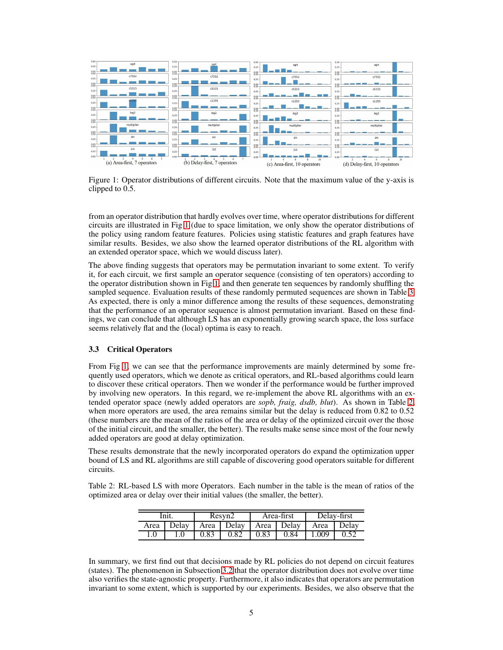

<span id="page-4-0"></span>Figure 1: Operator distributions of different circuits. Note that the maximum value of the y-axis is clipped to 0.5.

from an operator distribution that hardly evolves over time, where operator distributions for different circuits are illustrated in Fig [1](#page-4-0) (due to space limitation, we only show the operator distributions of the policy using random feature features. Policies using statistic features and graph features have similar results. Besides, we also show the learned operator distributions of the RL algorithm with an extended operator space, which we would discuss later).

The above finding suggests that operators may be permutation invariant to some extent. To verify it, for each circuit, we first sample an operator sequence (consisting of ten operators) according to the operator distribution shown in Fig [1,](#page-4-0) and then generate ten sequences by randomly shuffling the sampled sequence. Evaluation results of these randomly permuted sequences are shown in Table [3.](#page-5-1) As expected, there is only a minor difference among the results of these sequences, demonstrating that the performance of an operator sequence is almost permutation invariant. Based on these findings, we can conclude that although LS has an exponentially growing search space, the loss surface seems relatively flat and the (local) optima is easy to reach.

#### 3.3 Critical Operators

From Fig [1,](#page-4-0) we can see that the performance improvements are mainly determined by some frequently used operators, which we denote as critical operators, and RL-based algorithms could learn to discover these critical operators. Then we wonder if the performance would be further improved by involving new operators. In this regard, we re-implement the above RL algorithms with an extended operator space (newly added operators are *sopb, fraig, dsdb, blut*). As shown in Table [2,](#page-4-1) when more operators are used, the area remains similar but the delay is reduced from 0.82 to 0.52 (these numbers are the mean of the ratios of the area or delay of the optimized circuit over the those of the initial circuit, and the smaller, the better). The results make sense since most of the four newly added operators are good at delay optimization.

These results demonstrate that the newly incorporated operators do expand the optimization upper bound of LS and RL algorithms are still capable of discovering good operators suitable for different circuits.

Table 2: RL-based LS with more Operators. Each number in the table is the mean of ratios of the optimized area or delay over their initial values (the smaller, the better).

<span id="page-4-1"></span>

| Init. |       |      | Resyn2     |      | Area-first | Delay-first |       |  |
|-------|-------|------|------------|------|------------|-------------|-------|--|
| Area  | Delay |      | Area Delay |      | Area Delay | Area        | Delay |  |
|       |       | 0.83 | 0.82       | 0.83 | 0.84       | .009        |       |  |

In summary, we first find out that decisions made by RL policies do not depend on circuit features (states). The phenomenon in Subsection [3.2](#page-3-1) that the operator distribution does not evolve over time also verifies the state-agnostic property. Furthermore, it also indicates that operators are permutation invariant to some extent, which is supported by our experiments. Besides, we also observe that the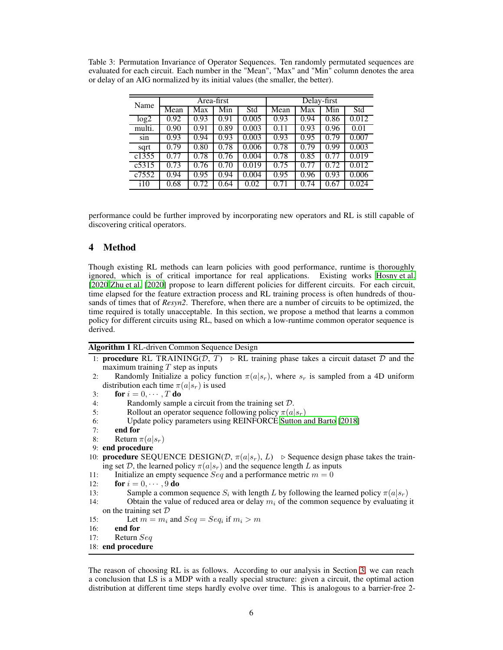<span id="page-5-1"></span>Table 3: Permutation Invariance of Operator Sequences. Ten randomly permutated sequences are evaluated for each circuit. Each number in the "Mean", "Max" and "Min" column denotes the area or delay of an AIG normalized by its initial values (the smaller, the better).

| Name   |      |      | Area-first |       | Delay-first |      |      |       |  |
|--------|------|------|------------|-------|-------------|------|------|-------|--|
|        | Mean | Max  | Min        | Std   | Mean        | Max  | Min  | Std   |  |
| log2   | 0.92 | 0.93 | 0.91       | 0.005 | 0.93        | 0.94 | 0.86 | 0.012 |  |
| multi. | 0.90 | 0.91 | 0.89       | 0.003 | 0.11        | 0.93 | 0.96 | 0.01  |  |
| sin    | 0.93 | 0.94 | 0.93       | 0.003 | 0.93        | 0.95 | 0.79 | 0.007 |  |
| sqrt   | 0.79 | 0.80 | 0.78       | 0.006 | 0.78        | 0.79 | 0.99 | 0.003 |  |
| c1355  | 0.77 | 0.78 | 0.76       | 0.004 | 0.78        | 0.85 | 0.77 | 0.019 |  |
| c5315  | 0.73 | 0.76 | 0.70       | 0.019 | 0.75        | 0.77 | 0.72 | 0.012 |  |
| c7552  | 0.94 | 0.95 | 0.94       | 0.004 | 0.95        | 0.96 | 0.93 | 0.006 |  |
| 110    | 0.68 | 0.72 | 0.64       | 0.02  | 0.71        | 0.74 | 0.67 | 0.024 |  |

performance could be further improved by incorporating new operators and RL is still capable of discovering critical operators.

## <span id="page-5-0"></span>4 Method

Though existing RL methods can learn policies with good performance, runtime is thoroughly ignored, which is of critical importance for real applications. Existing works [Hosny et al.](#page-8-5) [\[2020\]](#page-8-5)[Zhu et al. \[2020](#page-8-6)] propose to learn different policies for different circuits. For each circuit, time elapsed for the feature extraction process and RL training process is often hundreds of thousands of times that of *Resyn2*. Therefore, when there are a number of circuits to be optimized, the time required is totally unacceptable. In this section, we propose a method that learns a common policy for different circuits using RL, based on which a low-runtime common operator sequence is derived.

<span id="page-5-2"></span>

| Algorithm 1 RL-driven Common Sequence Design |  |  |  |
|----------------------------------------------|--|--|--|
|----------------------------------------------|--|--|--|

- 1: **procedure** RL TRAINING( $D$ ,  $T$ ) ⊳ RL training phase takes a circuit dataset  $D$  and the maximum training  $T$  step as inputs
- 2: Randomly Initialize a policy function  $\pi(a|s_r)$ , where  $s_r$  is sampled from a 4D uniform distribution each time  $\pi(a|s_r)$  is used

```
3: for i = 0, \cdots, T do
```
- 4: Randomly sample a circuit from the training set D.
- 5: Rollout an operator sequence following policy  $\pi(a|s_r)$
- 6: Update policy parameters using REINFORCE [Sutton and Barto](#page-8-10) [\[2018\]](#page-8-10)

```
7: end for
```
- 8: Return  $\pi(a|s_r)$
- 9: end procedure
- 10: **procedure** SEQUENCE DESIGN( $D$ ,  $\pi(a|s_r)$ ,  $L$ ) ⊳ Sequence design phase takes the training set D, the learned policy  $\pi(a|s_r)$  and the sequence length L as inputs
- 11: Initialize an empty sequence  $Seq$  and a performance metric  $m = 0$

```
12: for i = 0, \dots, 9 do
```
- 13: Sample a common sequence  $S_i$  with length L by following the learned policy  $\pi(a|s_r)$
- 14: Obtain the value of reduced area or delay  $m_i$  of the common sequence by evaluating it on the training set  $D$

```
15: Let m = m_i and Seq = Seq_i if m_i > m
```

```
16: end for
```
17: Return Seq

```
18: end procedure
```
The reason of choosing RL is as follows. According to our analysis in Section [3,](#page-2-0) we can reach a conclusion that LS is a MDP with a really special structure: given a circuit, the optimal action distribution at different time steps hardly evolve over time. This is analogous to a barrier-free 2-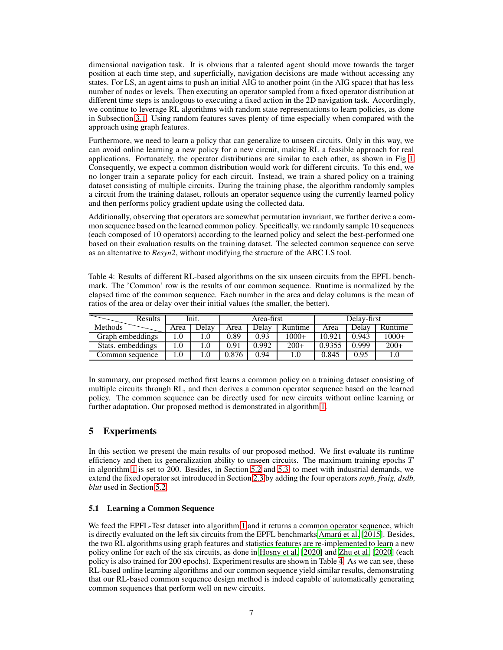dimensional navigation task. It is obvious that a talented agent should move towards the target position at each time step, and superficially, navigation decisions are made without accessing any states. For LS, an agent aims to push an initial AIG to another point (in the AIG space) that has less number of nodes or levels. Then executing an operator sampled from a fixed operator distribution at different time steps is analogous to executing a fixed action in the 2D navigation task. Accordingly, we continue to leverage RL algorithms with random state representations to learn policies, as done in Subsection [3.1.](#page-2-1) Using random features saves plenty of time especially when compared with the approach using graph features.

Furthermore, we need to learn a policy that can generalize to unseen circuits. Only in this way, we can avoid online learning a new policy for a new circuit, making RL a feasible approach for real applications. Fortunately, the operator distributions are similar to each other, as shown in Fig [1.](#page-4-0) Consequently, we expect a common distribution would work for different circuits. To this end, we no longer train a separate policy for each circuit. Instead, we train a shared policy on a training dataset consisting of multiple circuits. During the training phase, the algorithm randomly samples a circuit from the training dataset, rollouts an operator sequence using the currently learned policy and then performs policy gradient update using the collected data.

Additionally, observing that operators are somewhat permutation invariant, we further derive a common sequence based on the learned common policy. Specifically, we randomly sample 10 sequences (each composed of 10 operators) according to the learned policy and select the best-performed one based on their evaluation results on the training dataset. The selected common sequence can serve as an alternative to *Resyn2*, without modifying the structure of the ABC LS tool.

<span id="page-6-1"></span>Table 4: Results of different RL-based algorithms on the six unseen circuits from the EPFL benchmark. The 'Common' row is the results of our common sequence. Runtime is normalized by the elapsed time of the common sequence. Each number in the area and delay columns is the mean of ratios of the area or delay over their initial values (the smaller, the better).

| <b>Results</b>    |      | Init. |       | Area-first |         | Delav-first |       |         |
|-------------------|------|-------|-------|------------|---------|-------------|-------|---------|
| <b>Methods</b>    | Area | Delav | Area  | Delav      | Runtime | Area        | Delav | Runtime |
| Graph embeddings  |      |       | .89   | J.93       | $1000+$ | 10.92       | 0.943 | $1000+$ |
| Stats. embeddings |      |       | 0.91  | 0.992      | $200+$  | 0.9355      | 0.999 | $200+$  |
| Common sequence   |      |       | 0.876 | 1.94       |         | 0.845       | 0.95  |         |

In summary, our proposed method first learns a common policy on a training dataset consisting of multiple circuits through RL, and then derives a common operator sequence based on the learned policy. The common sequence can be directly used for new circuits without online learning or further adaptation. Our proposed method is demonstrated in algorithm [1.](#page-5-2)

# <span id="page-6-0"></span>5 Experiments

In this section we present the main results of our proposed method. We first evaluate its runtime efficiency and then its generalization ability to unseen circuits. The maximum training epochs  $T$ in algorithm [1](#page-5-2) is set to 200. Besides, in Section [5.2](#page-7-1) and [5.3,](#page-7-2) to meet with industrial demands, we extend the fixed operator set introduced in Section [2.3](#page-2-2) by adding the four operators *sopb, fraig, dsdb, blut* used in Section [5.2.](#page-7-1)

#### 5.1 Learning a Common Sequence

We feed the EPFL-Test dataset into algorithm [1](#page-5-2) and it returns a common operator sequence, which is directly evaluated on the left six circuits from the EPFL benchmarks [Amarú et al. \[2015\]](#page-8-12). Besides, the two RL algorithms using graph features and statistics features are re-implemented to learn a new policy online for each of the six circuits, as done in [Hosny et](#page-8-5) al. [\[2020\]](#page-8-5) and [Zhu et al.](#page-8-6) [\[2020\]](#page-8-6) (each policy is also trained for 200 epochs). Experiment results are shown in Table [4.](#page-6-1) As we can see, these RL-based online learning algorithms and our common sequence yield similar results, demonstrating that our RL-based common sequence design method is indeed capable of automatically generating common sequences that perform well on new circuits.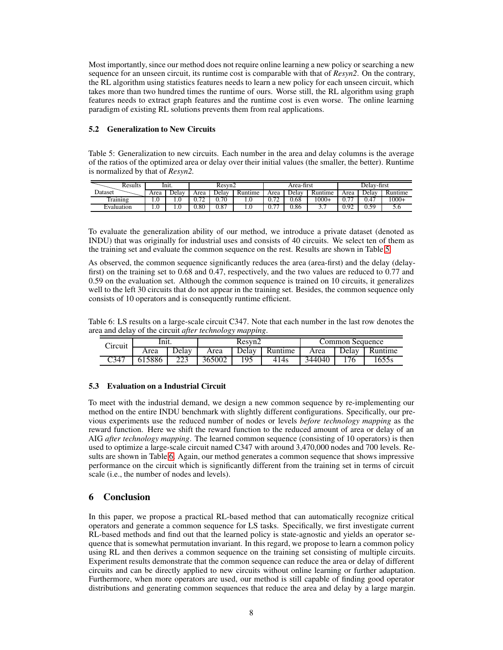Most importantly, since our method does not require online learning a new policy or searching a new sequence for an unseen circuit, its runtime cost is comparable with that of *Resyn2*. On the contrary, the RL algorithm using statistics features needs to learn a new policy for each unseen circuit, which takes more than two hundred times the runtime of ours. Worse still, the RL algorithm using graph features needs to extract graph features and the runtime cost is even worse. The online learning paradigm of existing RL solutions prevents them from real applications.

#### <span id="page-7-1"></span>5.2 Generalization to New Circuits

<span id="page-7-3"></span>Table 5: Generalization to new circuits. Each number in the area and delay columns is the average of the ratios of the optimized area or delay over their initial values (the smaller, the better). Runtime is normalized by that of *Resyn2.*

| Results    | Inıt. |       | Resyn2                   |       |         | Area-first       |       |         | Delav-first |       |         |
|------------|-------|-------|--------------------------|-------|---------|------------------|-------|---------|-------------|-------|---------|
| Dataset    | Area  | Delav | Area                     | Delav | Runtime | Area             | Delav | Runtime | Area        | Delav | Runtime |
| Training   |       |       | $\overline{\phantom{a}}$ | 0.70  |         | 0.72             | 0.68  | $1000+$ | $-$         | 0.47  | $1000+$ |
| Evaluation |       |       | 0.80                     | 0.87  |         | $\cdots$<br>U. 1 | 0.86  | ، ، ،   | 0.92        | 0.59  | J.V     |

To evaluate the generalization ability of our method, we introduce a private dataset (denoted as INDU) that was originally for industrial uses and consists of 40 circuits. We select ten of them as the training set and evaluate the common sequence on the rest. Results are shown in Table [5.](#page-7-3)

As observed, the common sequence significantly reduces the area (area-first) and the delay (delayfirst) on the training set to 0.68 and 0.47, respectively, and the two values are reduced to 0.77 and 0.59 on the evaluation set. Although the common sequence is trained on 10 circuits, it generalizes well to the left 30 circuits that do not appear in the training set. Besides, the common sequence only consists of 10 operators and is consequently runtime efficient.

Table 6: LS results on a large-scale circuit C347. Note that each number in the last row denotes the area and delay of the circuit *after technology mapping*.

<span id="page-7-4"></span>

| Circuit | Init.  |       |        | Resyn2 |         | Common Sequence |              |         |  |
|---------|--------|-------|--------|--------|---------|-----------------|--------------|---------|--|
|         | Area   | Delav | Area   | Delay  | Runtime | Area            | <b>Delay</b> | Runtime |  |
| C347    | 615886 | 223   | 365002 | 195    | 414s    | 344040          |              | 1655s   |  |

# <span id="page-7-2"></span>5.3 Evaluation on a Industrial Circuit

To meet with the industrial demand, we design a new common sequence by re-implementing our method on the entire INDU benchmark with slightly different configurations. Specifically, our previous experiments use the reduced number of nodes or levels *before technology mapping* as the reward function. Here we shift the reward function to the reduced amount of area or delay of an AIG *after technology mapping*. The learned common sequence (consisting of 10 operators) is then used to optimize a large-scale circuit named C347 with around 3,470,000 nodes and 700 levels. Results are shown in Table [6.](#page-7-4) Again, our method generates a common sequence that shows impressive performance on the circuit which is significantly different from the training set in terms of circuit scale (i.e., the number of nodes and levels).

# <span id="page-7-0"></span>6 Conclusion

In this paper, we propose a practical RL-based method that can automatically recognize critical operators and generate a common sequence for LS tasks. Specifically, we first investigate current RL-based methods and find out that the learned policy is state-agnostic and yields an operator sequence that is somewhat permutation invariant. In this regard, we propose to learn a common policy using RL and then derives a common sequence on the training set consisting of multiple circuits. Experiment results demonstrate that the common sequence can reduce the area or delay of different circuits and can be directly applied to new circuits without online learning or further adaptation. Furthermore, when more operators are used, our method is still capable of finding good operator distributions and generating common sequences that reduce the area and delay by a large margin.